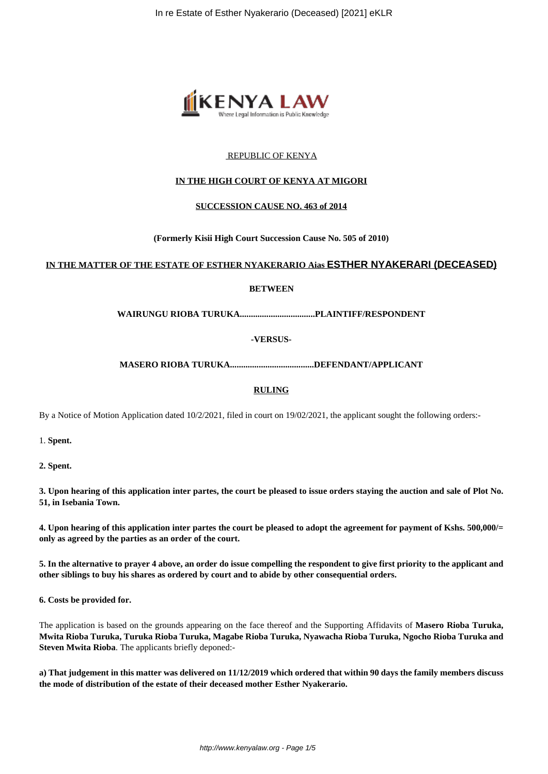

# REPUBLIC OF KENYA

## **IN THE HIGH COURT OF KENYA AT MIGORI**

#### **SUCCESSION CAUSE NO. 463 of 2014**

**(Formerly Kisii High Court Succession Cause No. 505 of 2010)**

#### **IN THE MATTER OF THE ESTATE OF ESTHER NYAKERARIO Aias ESTHER NYAKERARI (DECEASED)**

#### **BETWEEN**

**WAIRUNGU RIOBA TURUKA..................................PLAINTIFF/RESPONDENT**

**-VERSUS-**

**MASERO RIOBA TURUKA......................................DEFENDANT/APPLICANT**

## **RULING**

By a Notice of Motion Application dated 10/2/2021, filed in court on 19/02/2021, the applicant sought the following orders:-

1. **Spent.**

**2. Spent.**

**3. Upon hearing of this application inter partes, the court be pleased to issue orders staying the auction and sale of Plot No. 51, in Isebania Town.**

**4. Upon hearing of this application inter partes the court be pleased to adopt the agreement for payment of Kshs. 500,000/= only as agreed by the parties as an order of the court.** 

**5. In the alternative to prayer 4 above, an order do issue compelling the respondent to give first priority to the applicant and other siblings to buy his shares as ordered by court and to abide by other consequential orders.** 

**6. Costs be provided for.** 

The application is based on the grounds appearing on the face thereof and the Supporting Affidavits of **Masero Rioba Turuka, Mwita Rioba Turuka, Turuka Rioba Turuka, Magabe Rioba Turuka, Nyawacha Rioba Turuka, Ngocho Rioba Turuka and Steven Mwita Rioba**. The applicants briefly deponed:-

**a) That judgement in this matter was delivered on 11/12/2019 which ordered that within 90 days the family members discuss the mode of distribution of the estate of their deceased mother Esther Nyakerario.**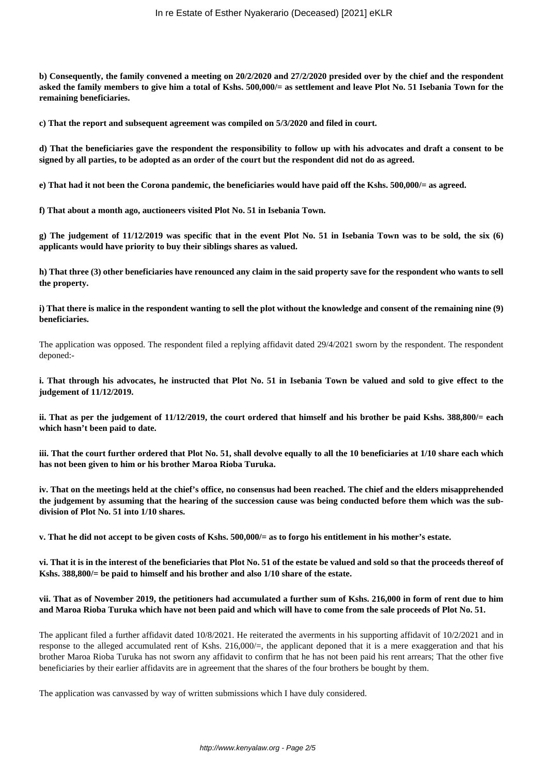**b) Consequently, the family convened a meeting on 20/2/2020 and 27/2/2020 presided over by the chief and the respondent asked the family members to give him a total of Kshs. 500,000/= as settlement and leave Plot No. 51 Isebania Town for the remaining beneficiaries.** 

**c) That the report and subsequent agreement was compiled on 5/3/2020 and filed in court.** 

**d) That the beneficiaries gave the respondent the responsibility to follow up with his advocates and draft a consent to be signed by all parties, to be adopted as an order of the court but the respondent did not do as agreed.** 

**e) That had it not been the Corona pandemic, the beneficiaries would have paid off the Kshs. 500,000/= as agreed.** 

**f) That about a month ago, auctioneers visited Plot No. 51 in Isebania Town.**

**g) The judgement of 11/12/2019 was specific that in the event Plot No. 51 in Isebania Town was to be sold, the six (6) applicants would have priority to buy their siblings shares as valued.** 

**h) That three (3) other beneficiaries have renounced any claim in the said property save for the respondent who wants to sell the property.** 

**i) That there is malice in the respondent wanting to sell the plot without the knowledge and consent of the remaining nine (9) beneficiaries.** 

The application was opposed. The respondent filed a replying affidavit dated 29/4/2021 sworn by the respondent. The respondent deponed:-

**i. That through his advocates, he instructed that Plot No. 51 in Isebania Town be valued and sold to give effect to the judgement of 11/12/2019.** 

**ii. That as per the judgement of 11/12/2019, the court ordered that himself and his brother be paid Kshs. 388,800/= each which hasn't been paid to date.**

**iii. That the court further ordered that Plot No. 51, shall devolve equally to all the 10 beneficiaries at 1/10 share each which has not been given to him or his brother Maroa Rioba Turuka.**

**iv. That on the meetings held at the chief's office, no consensus had been reached. The chief and the elders misapprehended the judgement by assuming that the hearing of the succession cause was being conducted before them which was the subdivision of Plot No. 51 into 1/10 shares.** 

**v. That he did not accept to be given costs of Kshs. 500,000/= as to forgo his entitlement in his mother's estate.** 

**vi. That it is in the interest of the beneficiaries that Plot No. 51 of the estate be valued and sold so that the proceeds thereof of Kshs. 388,800/= be paid to himself and his brother and also 1/10 share of the estate.** 

## **vii. That as of November 2019, the petitioners had accumulated a further sum of Kshs. 216,000 in form of rent due to him and Maroa Rioba Turuka which have not been paid and which will have to come from the sale proceeds of Plot No. 51.**

The applicant filed a further affidavit dated 10/8/2021. He reiterated the averments in his supporting affidavit of 10/2/2021 and in response to the alleged accumulated rent of Kshs. 216,000/=, the applicant deponed that it is a mere exaggeration and that his brother Maroa Rioba Turuka has not sworn any affidavit to confirm that he has not been paid his rent arrears; That the other five beneficiaries by their earlier affidavits are in agreement that the shares of the four brothers be bought by them.

The application was canvassed by way of written submissions which I have duly considered.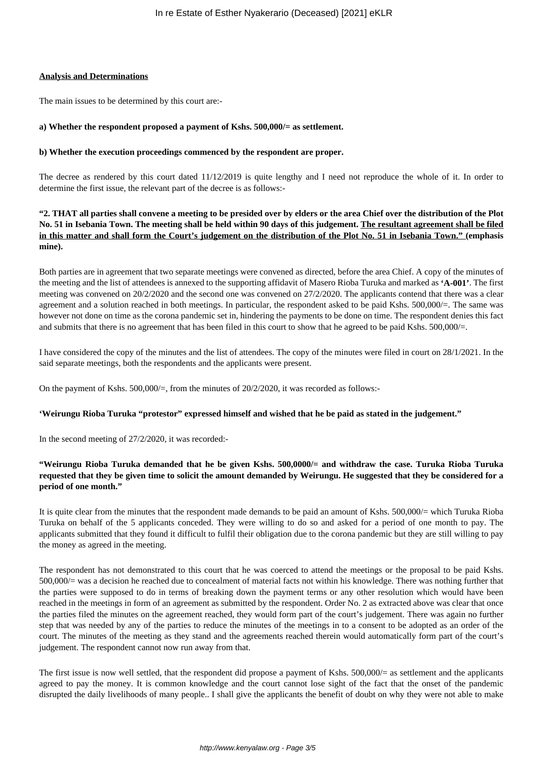#### **Analysis and Determinations**

The main issues to be determined by this court are:-

#### **a) Whether the respondent proposed a payment of Kshs. 500,000/= as settlement.**

#### **b) Whether the execution proceedings commenced by the respondent are proper.**

The decree as rendered by this court dated 11/12/2019 is quite lengthy and I need not reproduce the whole of it. In order to determine the first issue, the relevant part of the decree is as follows:-

**"2. THAT all parties shall convene a meeting to be presided over by elders or the area Chief over the distribution of the Plot No. 51 in Isebania Town. The meeting shall be held within 90 days of this judgement. The resultant agreement shall be filed in this matter and shall form the Court's judgement on the distribution of the Plot No. 51 in Isebania Town." (emphasis mine).**

Both parties are in agreement that two separate meetings were convened as directed, before the area Chief. A copy of the minutes of the meeting and the list of attendees is annexed to the supporting affidavit of Masero Rioba Turuka and marked as **'A-001'**. The first meeting was convened on 20/2/2020 and the second one was convened on 27/2/2020. The applicants contend that there was a clear agreement and a solution reached in both meetings. In particular, the respondent asked to be paid Kshs. 500,000/=. The same was however not done on time as the corona pandemic set in, hindering the payments to be done on time. The respondent denies this fact and submits that there is no agreement that has been filed in this court to show that he agreed to be paid Kshs. 500,000/=.

I have considered the copy of the minutes and the list of attendees. The copy of the minutes were filed in court on 28/1/2021. In the said separate meetings, both the respondents and the applicants were present.

On the payment of Kshs. 500,000/ $=$ , from the minutes of 20/2/2020, it was recorded as follows:-

#### **'Weirungu Rioba Turuka "protestor" expressed himself and wished that he be paid as stated in the judgement."**

In the second meeting of 27/2/2020, it was recorded:-

# **"Weirungu Rioba Turuka demanded that he be given Kshs. 500,0000/= and withdraw the case. Turuka Rioba Turuka requested that they be given time to solicit the amount demanded by Weirungu. He suggested that they be considered for a period of one month."**

It is quite clear from the minutes that the respondent made demands to be paid an amount of Kshs. 500,000/= which Turuka Rioba Turuka on behalf of the 5 applicants conceded. They were willing to do so and asked for a period of one month to pay. The applicants submitted that they found it difficult to fulfil their obligation due to the corona pandemic but they are still willing to pay the money as agreed in the meeting.

The respondent has not demonstrated to this court that he was coerced to attend the meetings or the proposal to be paid Kshs. 500,000/= was a decision he reached due to concealment of material facts not within his knowledge. There was nothing further that the parties were supposed to do in terms of breaking down the payment terms or any other resolution which would have been reached in the meetings in form of an agreement as submitted by the respondent. Order No. 2 as extracted above was clear that once the parties filed the minutes on the agreement reached, they would form part of the court's judgement. There was again no further step that was needed by any of the parties to reduce the minutes of the meetings in to a consent to be adopted as an order of the court. The minutes of the meeting as they stand and the agreements reached therein would automatically form part of the court's judgement. The respondent cannot now run away from that.

The first issue is now well settled, that the respondent did propose a payment of Kshs. 500,000/= as settlement and the applicants agreed to pay the money. It is common knowledge and the court cannot lose sight of the fact that the onset of the pandemic disrupted the daily livelihoods of many people.. I shall give the applicants the benefit of doubt on why they were not able to make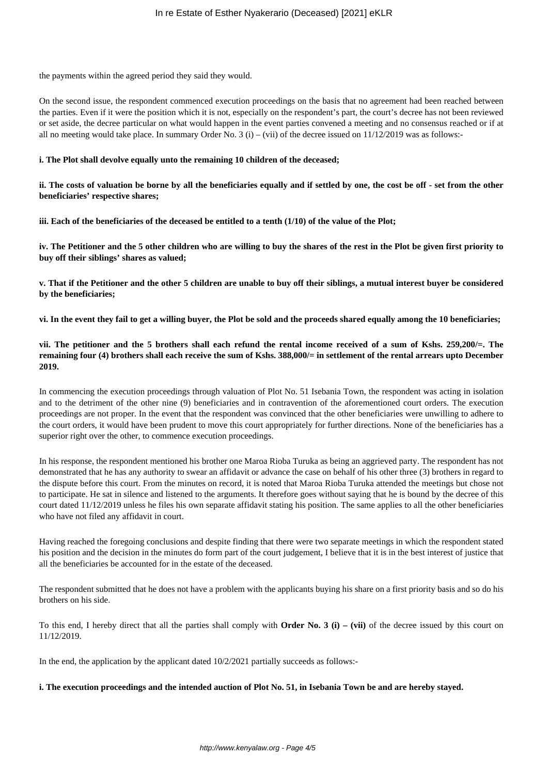the payments within the agreed period they said they would.

On the second issue, the respondent commenced execution proceedings on the basis that no agreement had been reached between the parties. Even if it were the position which it is not, especially on the respondent's part, the court's decree has not been reviewed or set aside, the decree particular on what would happen in the event parties convened a meeting and no consensus reached or if at all no meeting would take place. In summary Order No. 3 (i) – (vii) of the decree issued on  $11/12/2019$  was as follows:-

## **i. The Plot shall devolve equally unto the remaining 10 children of the deceased;**

**ii. The costs of valuation be borne by all the beneficiaries equally and if settled by one, the cost be off - set from the other beneficiaries' respective shares;**

**iii. Each of the beneficiaries of the deceased be entitled to a tenth (1/10) of the value of the Plot;**

**iv. The Petitioner and the 5 other children who are willing to buy the shares of the rest in the Plot be given first priority to buy off their siblings' shares as valued;**

**v. That if the Petitioner and the other 5 children are unable to buy off their siblings, a mutual interest buyer be considered by the beneficiaries;**

**vi. In the event they fail to get a willing buyer, the Plot be sold and the proceeds shared equally among the 10 beneficiaries;**

**vii. The petitioner and the 5 brothers shall each refund the rental income received of a sum of Kshs. 259,200/=. The remaining four (4) brothers shall each receive the sum of Kshs. 388,000/= in settlement of the rental arrears upto December 2019.** 

In commencing the execution proceedings through valuation of Plot No. 51 Isebania Town, the respondent was acting in isolation and to the detriment of the other nine (9) beneficiaries and in contravention of the aforementioned court orders. The execution proceedings are not proper. In the event that the respondent was convinced that the other beneficiaries were unwilling to adhere to the court orders, it would have been prudent to move this court appropriately for further directions. None of the beneficiaries has a superior right over the other, to commence execution proceedings.

In his response, the respondent mentioned his brother one Maroa Rioba Turuka as being an aggrieved party. The respondent has not demonstrated that he has any authority to swear an affidavit or advance the case on behalf of his other three (3) brothers in regard to the dispute before this court. From the minutes on record, it is noted that Maroa Rioba Turuka attended the meetings but chose not to participate. He sat in silence and listened to the arguments. It therefore goes without saying that he is bound by the decree of this court dated 11/12/2019 unless he files his own separate affidavit stating his position. The same applies to all the other beneficiaries who have not filed any affidavit in court.

Having reached the foregoing conclusions and despite finding that there were two separate meetings in which the respondent stated his position and the decision in the minutes do form part of the court judgement, I believe that it is in the best interest of justice that all the beneficiaries be accounted for in the estate of the deceased.

The respondent submitted that he does not have a problem with the applicants buying his share on a first priority basis and so do his brothers on his side.

To this end, I hereby direct that all the parties shall comply with **Order No. 3 (i) – (vii)** of the decree issued by this court on 11/12/2019.

In the end, the application by the applicant dated  $10/2/2021$  partially succeeds as follows:-

## **i. The execution proceedings and the intended auction of Plot No. 51, in Isebania Town be and are hereby stayed.**